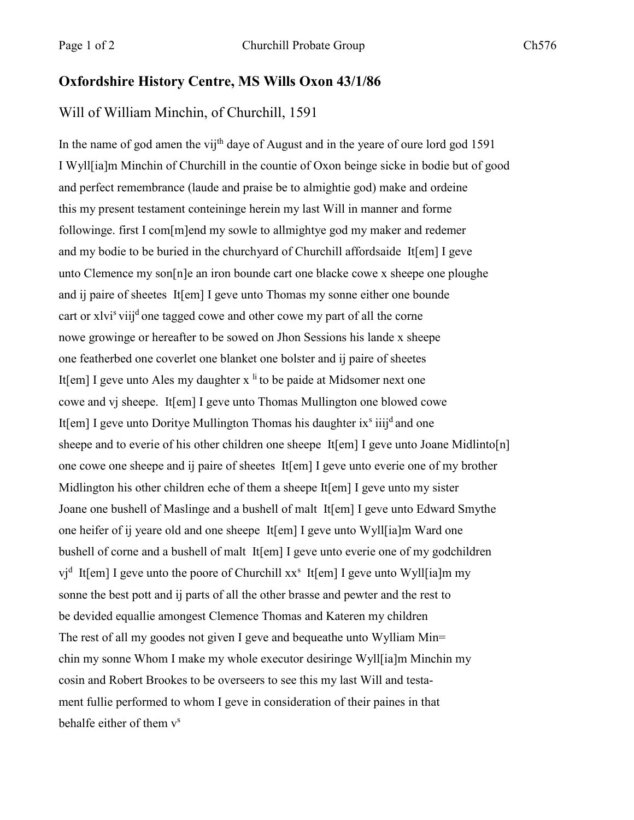## **Oxfordshire History Centre, MS Wills Oxon 43/1/86**

## Will of William Minchin, of Churchill, 1591

In the name of god amen the vij<sup>th</sup> daye of August and in the yeare of oure lord god 1591 I Wyll[ia]m Minchin of Churchill in the countie of Oxon beinge sicke in bodie but of good and perfect remembrance (laude and praise be to almightie god) make and ordeine this my present testament conteininge herein my last Will in manner and forme followinge. first I com[m]end my sowle to allmightye god my maker and redemer and my bodie to be buried in the churchyard of Churchill affordsaide It[em] I geve unto Clemence my son[n]e an iron bounde cart one blacke cowe x sheepe one ploughe and ij paire of sheetes It[em] I geve unto Thomas my sonne either one bounde cart or xlvi<sup>s</sup> viij<sup>d</sup> one tagged cowe and other cowe my part of all the corne nowe growinge or hereafter to be sowed on Jhon Sessions his lande x sheepe one featherbed one coverlet one blanket one bolster and ij paire of sheetes It[em] I geve unto Ales my daughter  $x<sup>li</sup>$  to be paide at Midsomer next one cowe and vj sheepe. It[em] I geve unto Thomas Mullington one blowed cowe It[em] I geve unto Doritye Mullington Thomas his daughter ix<sup>s</sup> iiij<sup>d</sup> and one sheepe and to everie of his other children one sheepe It[em] I geve unto Joane Midlinto[n] one cowe one sheepe and ij paire of sheetes It[em] I geve unto everie one of my brother Midlington his other children eche of them a sheepe It[em] I geve unto my sister Joane one bushell of Maslinge and a bushell of malt It[em] I geve unto Edward Smythe one heifer of ij yeare old and one sheepe It[em] I geve unto Wyll[ia]m Ward one bushell of corne and a bushell of malt It[em] I geve unto everie one of my godchildren vj<sup>d</sup> It[em] I geve unto the poore of Churchill xx<sup>s</sup> It[em] I geve unto Wyll[ia]m my sonne the best pott and ij parts of all the other brasse and pewter and the rest to be devided equallie amongest Clemence Thomas and Kateren my children The rest of all my goodes not given I geve and bequeathe unto Wylliam Min= chin my sonne Whom I make my whole executor desiringe Wyll[ia]m Minchin my cosin and Robert Brookes to be overseers to see this my last Will and testament fullie performed to whom I geve in consideration of their paines in that behalfe either of them v<sup>s</sup>